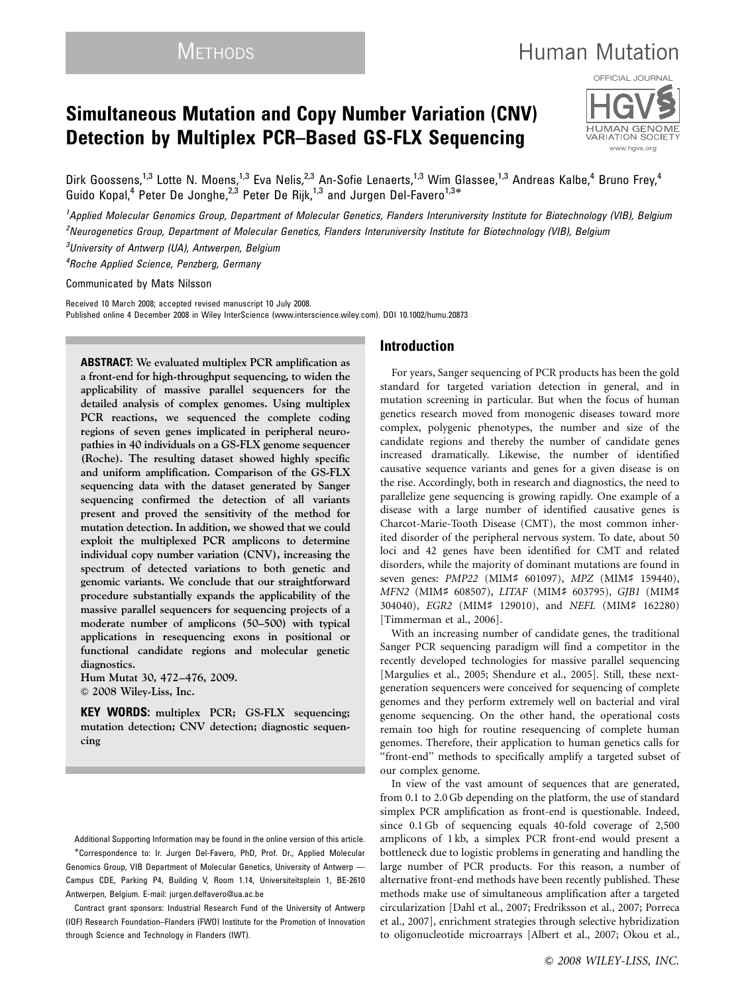# METHODS **Human Mutation**

## Simultaneous Mutation and Copy Number Variation (CNV) Detection by Multiplex PCR–Based GS-FLX Sequencing



Dirk Goossens,<sup>1,3</sup> Lotte N. Moens,<sup>1,3</sup> Eva Nelis,<sup>2,3</sup> An-Sofie Lenaerts,<sup>1,3</sup> Wim Glassee,<sup>1,3</sup> Andreas Kalbe,<sup>4</sup> Bruno Frey,<sup>4</sup> Guido Kopal,<sup>4</sup> Peter De Jonghe,<sup>2,3</sup> Peter De Rijk,<sup>1,3</sup> and Jurgen Del-Favero<sup>1,3\*</sup>

<sup>1</sup>Applied Molecular Genomics Group, Department of Molecular Genetics, Flanders Interuniversity Institute for Biotechnology (VIB), Belgium 2 Neurogenetics Group, Department of Molecular Genetics, Flanders Interuniversity Institute for Biotechnology (VIB), Belgium

<sup>3</sup>University of Antwerp (UA), Antwerpen, Belgium

4 Roche Applied Science, Penzberg, Germany

Communicated by Mats Nilsson

Received 10 March 2008; accepted revised manuscript 10 July 2008. Published online 4 December 2008 in Wiley InterScience (www.interscience.wiley.com). DOI 10.1002/humu.20873

ABSTRACT: We evaluated multiplex PCR amplification as a front-end for high-throughput sequencing, to widen the applicability of massive parallel sequencers for the detailed analysis of complex genomes. Using multiplex PCR reactions, we sequenced the complete coding regions of seven genes implicated in peripheral neuropathies in 40 individuals on a GS-FLX genome sequencer (Roche). The resulting dataset showed highly specific and uniform amplification. Comparison of the GS-FLX sequencing data with the dataset generated by Sanger sequencing confirmed the detection of all variants present and proved the sensitivity of the method for mutation detection. In addition, we showed that we could exploit the multiplexed PCR amplicons to determine individual copy number variation (CNV), increasing the spectrum of detected variations to both genetic and genomic variants. We conclude that our straightforward procedure substantially expands the applicability of the massive parallel sequencers for sequencing projects of a moderate number of amplicons (50–500) with typical applications in resequencing exons in positional or functional candidate regions and molecular genetic diagnostics.

Hum Mutat 30, 472–476, 2009.  $© 2008 Wiley-Liss, Inc.$ 

KEY WORDS: multiplex PCR; GS-FLX sequencing; mutation detection; CNV detection; diagnostic sequencing

Additional Supporting Information may be found in the online version of this article. -Correspondence to: Ir. Jurgen Del-Favero, PhD, Prof. Dr., Applied Molecular Genomics Group, VIB Department of Molecular Genetics, University of Antwerp — Campus CDE, Parking P4, Building V, Room 1.14, Universiteitsplein 1, BE-2610 Antwerpen, Belgium. E-mail: jurgen.delfavero@ua.ac.be

Contract grant sponsors: Industrial Research Fund of the University of Antwerp (IOF) Research Foundation–Flanders (FWO) Institute for the Promotion of Innovation through Science and Technology in Flanders (IWT).

## Introduction

For years, Sanger sequencing of PCR products has been the gold standard for targeted variation detection in general, and in mutation screening in particular. But when the focus of human genetics research moved from monogenic diseases toward more complex, polygenic phenotypes, the number and size of the candidate regions and thereby the number of candidate genes increased dramatically. Likewise, the number of identified causative sequence variants and genes for a given disease is on the rise. Accordingly, both in research and diagnostics, the need to parallelize gene sequencing is growing rapidly. One example of a disease with a large number of identified causative genes is Charcot-Marie-Tooth Disease (CMT), the most common inherited disorder of the peripheral nervous system. To date, about 50 loci and 42 genes have been identified for CMT and related disorders, while the majority of dominant mutations are found in seven genes: PMP22 (MIM# 601097), MPZ (MIM# 159440), MFN2 (MIM# 608507), LITAF (MIM# 603795), GJB1 (MIM# 304040), EGR2 (MIM# 129010), and NEFL (MIM# 162280) [Timmerman et al., 2006].

With an increasing number of candidate genes, the traditional Sanger PCR sequencing paradigm will find a competitor in the recently developed technologies for massive parallel sequencing [Margulies et al., 2005; Shendure et al., 2005]. Still, these nextgeneration sequencers were conceived for sequencing of complete genomes and they perform extremely well on bacterial and viral genome sequencing. On the other hand, the operational costs remain too high for routine resequencing of complete human genomes. Therefore, their application to human genetics calls for "front-end" methods to specifically amplify a targeted subset of our complex genome.

In view of the vast amount of sequences that are generated, from 0.1 to 2.0 Gb depending on the platform, the use of standard simplex PCR amplification as front-end is questionable. Indeed, since 0.1 Gb of sequencing equals 40-fold coverage of 2,500 amplicons of 1 kb, a simplex PCR front-end would present a bottleneck due to logistic problems in generating and handling the large number of PCR products. For this reason, a number of alternative front-end methods have been recently published. These methods make use of simultaneous amplification after a targeted circularization [Dahl et al., 2007; Fredriksson et al., 2007; Porreca et al., 2007], enrichment strategies through selective hybridization to oligonucleotide microarrays [Albert et al., 2007; Okou et al.,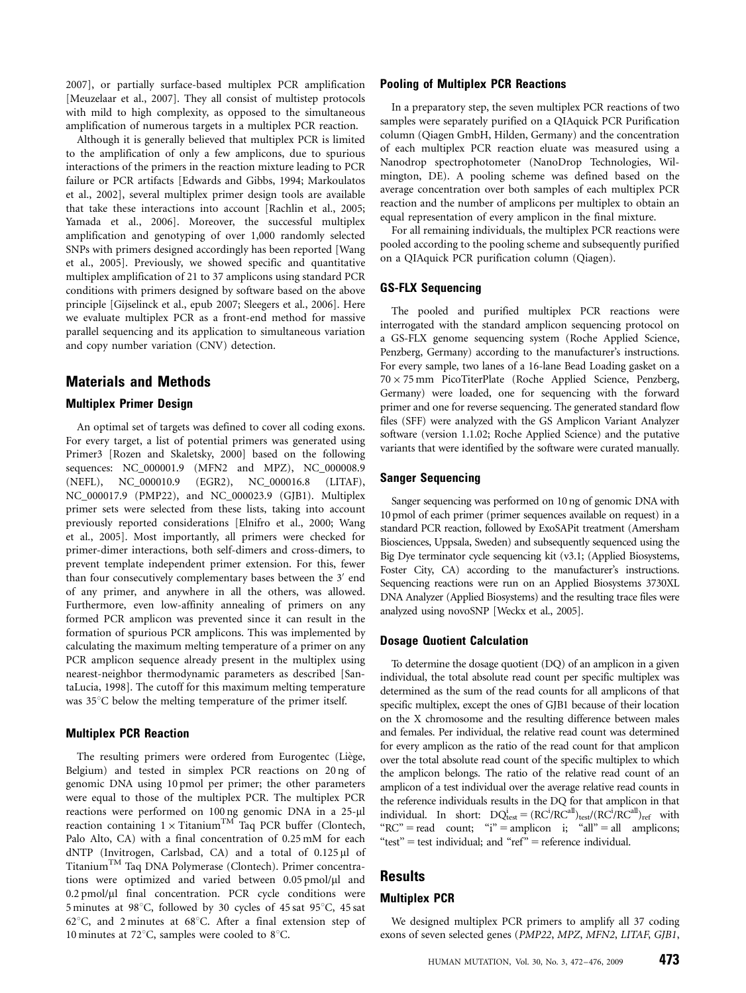2007], or partially surface-based multiplex PCR amplification [Meuzelaar et al., 2007]. They all consist of multistep protocols with mild to high complexity, as opposed to the simultaneous amplification of numerous targets in a multiplex PCR reaction.

Although it is generally believed that multiplex PCR is limited to the amplification of only a few amplicons, due to spurious interactions of the primers in the reaction mixture leading to PCR failure or PCR artifacts [Edwards and Gibbs, 1994; Markoulatos et al., 2002], several multiplex primer design tools are available that take these interactions into account [Rachlin et al., 2005; Yamada et al., 2006]. Moreover, the successful multiplex amplification and genotyping of over 1,000 randomly selected SNPs with primers designed accordingly has been reported [Wang et al., 2005]. Previously, we showed specific and quantitative multiplex amplification of 21 to 37 amplicons using standard PCR conditions with primers designed by software based on the above principle [Gijselinck et al., epub 2007; Sleegers et al., 2006]. Here we evaluate multiplex PCR as a front-end method for massive parallel sequencing and its application to simultaneous variation and copy number variation (CNV) detection.

## Materials and Methods

#### Multiplex Primer Design

An optimal set of targets was defined to cover all coding exons. For every target, a list of potential primers was generated using Primer3 [Rozen and Skaletsky, 2000] based on the following sequences: NC\_000001.9 (MFN2 and MPZ), NC\_000008.9 (NEFL), NC\_000010.9 (EGR2), NC\_000016.8 (LITAF), NC\_000017.9 (PMP22), and NC\_000023.9 (GJB1). Multiplex primer sets were selected from these lists, taking into account previously reported considerations [Elnifro et al., 2000; Wang et al., 2005]. Most importantly, all primers were checked for primer-dimer interactions, both self-dimers and cross-dimers, to prevent template independent primer extension. For this, fewer than four consecutively complementary bases between the 3' end of any primer, and anywhere in all the others, was allowed. Furthermore, even low-affinity annealing of primers on any formed PCR amplicon was prevented since it can result in the formation of spurious PCR amplicons. This was implemented by calculating the maximum melting temperature of a primer on any PCR amplicon sequence already present in the multiplex using nearest-neighbor thermodynamic parameters as described [SantaLucia, 1998]. The cutoff for this maximum melting temperature was  $35^{\circ}$ C below the melting temperature of the primer itself.

## Multiplex PCR Reaction

The resulting primers were ordered from Eurogentec (Liège, Belgium) and tested in simplex PCR reactions on 20 ng of genomic DNA using 10 pmol per primer; the other parameters were equal to those of the multiplex PCR. The multiplex PCR reactions were performed on 100 ng genomic DNA in a 25-µl reaction containing  $1 \times$  Titanium<sup>TM</sup> Taq PCR buffer (Clontech, Palo Alto, CA) with a final concentration of 0.25 mM for each dNTP (Invitrogen, Carlsbad, CA) and a total of  $0.125 \mu l$  of TitaniumTM Taq DNA Polymerase (Clontech). Primer concentrations were optimized and varied between 0.05 pmol/µl and  $0.2$  pmol/ $\mu$ l final concentration. PCR cycle conditions were 5 minutes at 98°C, followed by 30 cycles of 45 sat 95°C, 45 sat 62 $^{\circ}$ C, and 2 minutes at 68 $^{\circ}$ C. After a final extension step of 10 minutes at 72 $\degree$ C, samples were cooled to 8 $\degree$ C.

## Pooling of Multiplex PCR Reactions

In a preparatory step, the seven multiplex PCR reactions of two samples were separately purified on a QIAquick PCR Purification column (Qiagen GmbH, Hilden, Germany) and the concentration of each multiplex PCR reaction eluate was measured using a Nanodrop spectrophotometer (NanoDrop Technologies, Wilmington, DE). A pooling scheme was defined based on the average concentration over both samples of each multiplex PCR reaction and the number of amplicons per multiplex to obtain an equal representation of every amplicon in the final mixture.

For all remaining individuals, the multiplex PCR reactions were pooled according to the pooling scheme and subsequently purified on a QIAquick PCR purification column (Qiagen).

#### GS-FLX Sequencing

The pooled and purified multiplex PCR reactions were interrogated with the standard amplicon sequencing protocol on a GS-FLX genome sequencing system (Roche Applied Science, Penzberg, Germany) according to the manufacturer's instructions. For every sample, two lanes of a 16-lane Bead Loading gasket on a 70- 75 mm PicoTiterPlate (Roche Applied Science, Penzberg, Germany) were loaded, one for sequencing with the forward primer and one for reverse sequencing. The generated standard flow files (SFF) were analyzed with the GS Amplicon Variant Analyzer software (version 1.1.02; Roche Applied Science) and the putative variants that were identified by the software were curated manually.

#### Sanger Sequencing

Sanger sequencing was performed on 10 ng of genomic DNA with 10 pmol of each primer (primer sequences available on request) in a standard PCR reaction, followed by ExoSAPit treatment (Amersham Biosciences, Uppsala, Sweden) and subsequently sequenced using the Big Dye terminator cycle sequencing kit (v3.1; (Applied Biosystems, Foster City, CA) according to the manufacturer's instructions. Sequencing reactions were run on an Applied Biosystems 3730XL DNA Analyzer (Applied Biosystems) and the resulting trace files were analyzed using novoSNP [Weckx et al., 2005].

#### Dosage Quotient Calculation

To determine the dosage quotient (DQ) of an amplicon in a given individual, the total absolute read count per specific multiplex was determined as the sum of the read counts for all amplicons of that specific multiplex, except the ones of GJB1 because of their location on the X chromosome and the resulting difference between males and females. Per individual, the relative read count was determined for every amplicon as the ratio of the read count for that amplicon over the total absolute read count of the specific multiplex to which the amplicon belongs. The ratio of the relative read count of an amplicon of a test individual over the average relative read counts in the reference individuals results in the DQ for that amplicon in that individual. In short:  $DQ_{\text{test}}^i = (RC^i/RC^{all})_{\text{test}}/(RC^i/RC^{all})_{\text{ref}}$  with " $RC''$  = read count; "i" = amplicon i; "all" = all amplicons; "test" = test individual; and " $ref"$  = reference individual.

## Results

#### Multiplex PCR

We designed multiplex PCR primers to amplify all 37 coding exons of seven selected genes (PMP22, MPZ, MFN2, LITAF, GJB1,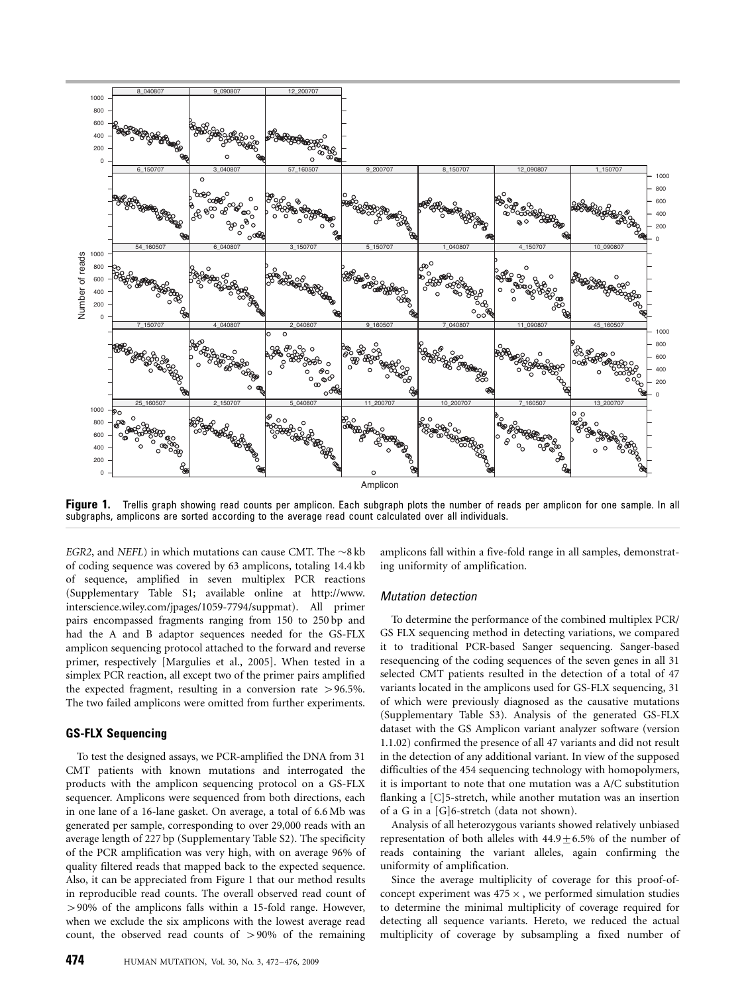

Figure 1. Trellis graph showing read counts per amplicon. Each subgraph plots the number of reads per amplicon for one sample. In all subgraphs, amplicons are sorted according to the average read count calculated over all individuals.

EGR2, and NEFL) in which mutations can cause CMT. The  $\sim$ 8 kb of coding sequence was covered by 63 amplicons, totaling 14.4 kb of sequence, amplified in seven multiplex PCR reactions (Supplementary Table S1; available online at http://www. interscience.wiley.com/jpages/1059-7794/suppmat). All primer pairs encompassed fragments ranging from 150 to 250 bp and had the A and B adaptor sequences needed for the GS-FLX amplicon sequencing protocol attached to the forward and reverse primer, respectively [Margulies et al., 2005]. When tested in a simplex PCR reaction, all except two of the primer pairs amplified the expected fragment, resulting in a conversion rate  $> 96.5\%$ . The two failed amplicons were omitted from further experiments.

## GS-FLX Sequencing

To test the designed assays, we PCR-amplified the DNA from 31 CMT patients with known mutations and interrogated the products with the amplicon sequencing protocol on a GS-FLX sequencer. Amplicons were sequenced from both directions, each in one lane of a 16-lane gasket. On average, a total of 6.6 Mb was generated per sample, corresponding to over 29,000 reads with an average length of 227 bp (Supplementary Table S2). The specificity of the PCR amplification was very high, with on average 96% of quality filtered reads that mapped back to the expected sequence. Also, it can be appreciated from Figure 1 that our method results in reproducible read counts. The overall observed read count of 490% of the amplicons falls within a 15-fold range. However, when we exclude the six amplicons with the lowest average read count, the observed read counts of  $>90\%$  of the remaining

amplicons fall within a five-fold range in all samples, demonstrating uniformity of amplification.

#### Mutation detection

To determine the performance of the combined multiplex PCR/ GS FLX sequencing method in detecting variations, we compared it to traditional PCR-based Sanger sequencing. Sanger-based resequencing of the coding sequences of the seven genes in all 31 selected CMT patients resulted in the detection of a total of 47 variants located in the amplicons used for GS-FLX sequencing, 31 of which were previously diagnosed as the causative mutations (Supplementary Table S3). Analysis of the generated GS-FLX dataset with the GS Amplicon variant analyzer software (version 1.1.02) confirmed the presence of all 47 variants and did not result in the detection of any additional variant. In view of the supposed difficulties of the 454 sequencing technology with homopolymers, it is important to note that one mutation was a A/C substitution flanking a [C]5-stretch, while another mutation was an insertion of a G in a [G]6-stretch (data not shown).

Analysis of all heterozygous variants showed relatively unbiased representation of both alleles with  $44.9 \pm 6.5\%$  of the number of reads containing the variant alleles, again confirming the uniformity of amplification.

Since the average multiplicity of coverage for this proof-ofconcept experiment was  $475 \times$ , we performed simulation studies to determine the minimal multiplicity of coverage required for detecting all sequence variants. Hereto, we reduced the actual multiplicity of coverage by subsampling a fixed number of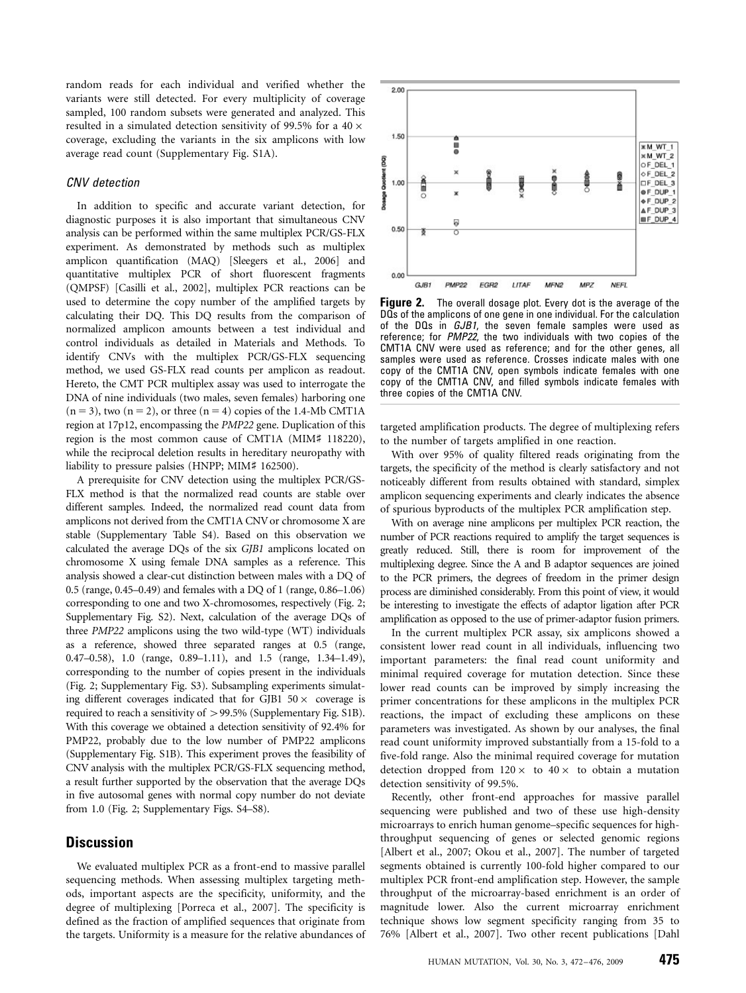random reads for each individual and verified whether the variants were still detected. For every multiplicity of coverage sampled, 100 random subsets were generated and analyzed. This resulted in a simulated detection sensitivity of 99.5% for a 40  $\times$ coverage, excluding the variants in the six amplicons with low average read count (Supplementary Fig. S1A).

## CNV detection

In addition to specific and accurate variant detection, for diagnostic purposes it is also important that simultaneous CNV analysis can be performed within the same multiplex PCR/GS-FLX experiment. As demonstrated by methods such as multiplex amplicon quantification (MAQ) [Sleegers et al., 2006] and quantitative multiplex PCR of short fluorescent fragments (QMPSF) [Casilli et al., 2002], multiplex PCR reactions can be used to determine the copy number of the amplified targets by calculating their DQ. This DQ results from the comparison of normalized amplicon amounts between a test individual and control individuals as detailed in Materials and Methods. To identify CNVs with the multiplex PCR/GS-FLX sequencing method, we used GS-FLX read counts per amplicon as readout. Hereto, the CMT PCR multiplex assay was used to interrogate the DNA of nine individuals (two males, seven females) harboring one  $(n = 3)$ , two  $(n = 2)$ , or three  $(n = 4)$  copies of the 1.4-Mb CMT1A region at 17p12, encompassing the PMP22 gene. Duplication of this region is the most common cause of CMT1A (MIM# 118220), while the reciprocal deletion results in hereditary neuropathy with liability to pressure palsies (HNPP; MIM# 162500).

A prerequisite for CNV detection using the multiplex PCR/GS-FLX method is that the normalized read counts are stable over different samples. Indeed, the normalized read count data from amplicons not derived from the CMT1A CNV or chromosome X are stable (Supplementary Table S4). Based on this observation we calculated the average DQs of the six GJB1 amplicons located on chromosome X using female DNA samples as a reference. This analysis showed a clear-cut distinction between males with a DQ of 0.5 (range, 0.45–0.49) and females with a DQ of 1 (range, 0.86–1.06) corresponding to one and two X-chromosomes, respectively (Fig. 2; Supplementary Fig. S2). Next, calculation of the average DQs of three PMP22 amplicons using the two wild-type (WT) individuals as a reference, showed three separated ranges at 0.5 (range, 0.47–0.58), 1.0 (range, 0.89–1.11), and 1.5 (range, 1.34–1.49), corresponding to the number of copies present in the individuals (Fig. 2; Supplementary Fig. S3). Subsampling experiments simulating different coverages indicated that for GJB1  $50\times$  coverage is required to reach a sensitivity of  $>$ 99.5% (Supplementary Fig. S1B). With this coverage we obtained a detection sensitivity of 92.4% for PMP22, probably due to the low number of PMP22 amplicons (Supplementary Fig. S1B). This experiment proves the feasibility of CNV analysis with the multiplex PCR/GS-FLX sequencing method, a result further supported by the observation that the average DQs in five autosomal genes with normal copy number do not deviate from 1.0 (Fig. 2; Supplementary Figs. S4–S8).

## **Discussion**

We evaluated multiplex PCR as a front-end to massive parallel sequencing methods. When assessing multiplex targeting methods, important aspects are the specificity, uniformity, and the degree of multiplexing [Porreca et al., 2007]. The specificity is defined as the fraction of amplified sequences that originate from the targets. Uniformity is a measure for the relative abundances of



**Figure 2.** The overall dosage plot. Every dot is the average of the DQs of the amplicons of one gene in one individual. For the calculation of the DQs in GJB1, the seven female samples were used as reference; for PMP22, the two individuals with two copies of the CMT1A CNV were used as reference; and for the other genes, all samples were used as reference. Crosses indicate males with one copy of the CMT1A CNV, open symbols indicate females with one copy of the CMT1A CNV, and filled symbols indicate females with three copies of the CMT1A CNV.

targeted amplification products. The degree of multiplexing refers to the number of targets amplified in one reaction.

With over 95% of quality filtered reads originating from the targets, the specificity of the method is clearly satisfactory and not noticeably different from results obtained with standard, simplex amplicon sequencing experiments and clearly indicates the absence of spurious byproducts of the multiplex PCR amplification step.

With on average nine amplicons per multiplex PCR reaction, the number of PCR reactions required to amplify the target sequences is greatly reduced. Still, there is room for improvement of the multiplexing degree. Since the A and B adaptor sequences are joined to the PCR primers, the degrees of freedom in the primer design process are diminished considerably. From this point of view, it would be interesting to investigate the effects of adaptor ligation after PCR amplification as opposed to the use of primer-adaptor fusion primers.

In the current multiplex PCR assay, six amplicons showed a consistent lower read count in all individuals, influencing two important parameters: the final read count uniformity and minimal required coverage for mutation detection. Since these lower read counts can be improved by simply increasing the primer concentrations for these amplicons in the multiplex PCR reactions, the impact of excluding these amplicons on these parameters was investigated. As shown by our analyses, the final read count uniformity improved substantially from a 15-fold to a five-fold range. Also the minimal required coverage for mutation detection dropped from  $120 \times$  to  $40 \times$  to obtain a mutation detection sensitivity of 99.5%.

Recently, other front-end approaches for massive parallel sequencing were published and two of these use high-density microarrays to enrich human genome–specific sequences for highthroughput sequencing of genes or selected genomic regions [Albert et al., 2007; Okou et al., 2007]. The number of targeted segments obtained is currently 100-fold higher compared to our multiplex PCR front-end amplification step. However, the sample throughput of the microarray-based enrichment is an order of magnitude lower. Also the current microarray enrichment technique shows low segment specificity ranging from 35 to 76% [Albert et al., 2007]. Two other recent publications [Dahl